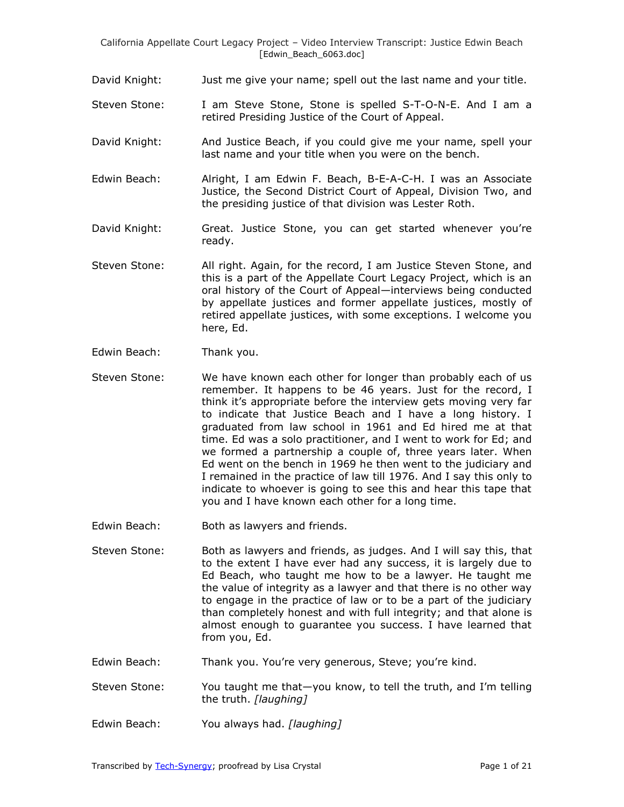- David Knight: Just me give your name; spell out the last name and your title.
- Steven Stone: I am Steve Stone, Stone is spelled S-T-O-N-E. And I am a retired Presiding Justice of the Court of Appeal.
- David Knight: And Justice Beach, if you could give me your name, spell your last name and your title when you were on the bench.
- Edwin Beach: Alright, I am Edwin F. Beach, B-E-A-C-H. I was an Associate Justice, the Second District Court of Appeal, Division Two, and the presiding justice of that division was Lester Roth.
- David Knight: Great. Justice Stone, you can get started whenever you're ready.
- Steven Stone: All right. Again, for the record, I am Justice Steven Stone, and this is a part of the Appellate Court Legacy Project, which is an oral history of the Court of Appeal—interviews being conducted by appellate justices and former appellate justices, mostly of retired appellate justices, with some exceptions. I welcome you here, Ed.
- Edwin Beach: Thank you.
- Steven Stone: We have known each other for longer than probably each of us remember. It happens to be 46 years. Just for the record, I think it's appropriate before the interview gets moving very far to indicate that Justice Beach and I have a long history. I graduated from law school in 1961 and Ed hired me at that time. Ed was a solo practitioner, and I went to work for Ed; and we formed a partnership a couple of, three years later. When Ed went on the bench in 1969 he then went to the judiciary and I remained in the practice of law till 1976. And I say this only to indicate to whoever is going to see this and hear this tape that you and I have known each other for a long time.
- Edwin Beach: Both as lawyers and friends.
- Steven Stone: Both as lawyers and friends, as judges. And I will say this, that to the extent I have ever had any success, it is largely due to Ed Beach, who taught me how to be a lawyer. He taught me the value of integrity as a lawyer and that there is no other way to engage in the practice of law or to be a part of the judiciary than completely honest and with full integrity; and that alone is almost enough to guarantee you success. I have learned that from you, Ed.
- Edwin Beach: Thank you. You're very generous, Steve; you're kind.
- Steven Stone: You taught me that—you know, to tell the truth, and I'm telling the truth. *[laughing]*
- Edwin Beach: You always had. *[laughing]*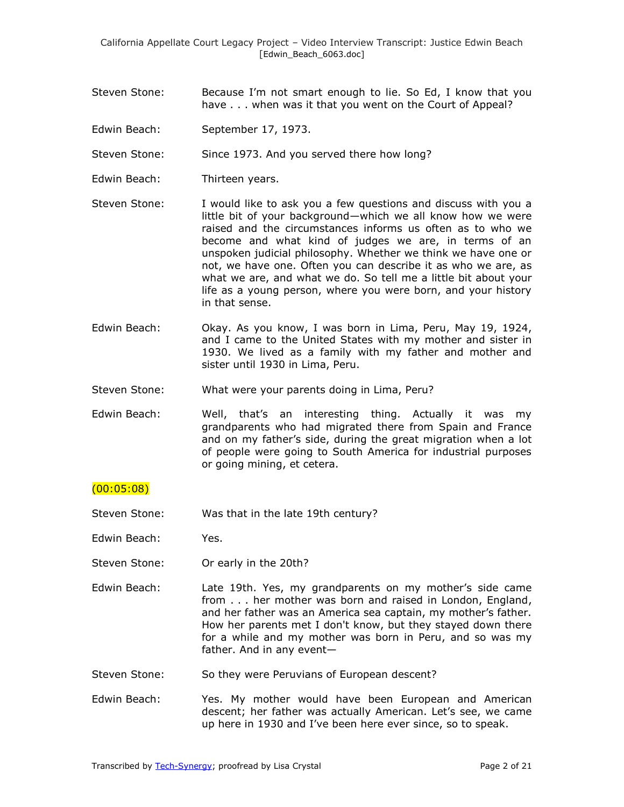- Steven Stone: Because I'm not smart enough to lie. So Ed, I know that you have . . . when was it that you went on the Court of Appeal?
- Edwin Beach: September 17, 1973.

Steven Stone: Since 1973. And you served there how long?

- Edwin Beach: Thirteen years.
- Steven Stone: I would like to ask you a few questions and discuss with you a little bit of your background—which we all know how we were raised and the circumstances informs us often as to who we become and what kind of judges we are, in terms of an unspoken judicial philosophy. Whether we think we have one or not, we have one. Often you can describe it as who we are, as what we are, and what we do. So tell me a little bit about your life as a young person, where you were born, and your history in that sense.
- Edwin Beach: Okay. As you know, I was born in Lima, Peru, May 19, 1924, and I came to the United States with my mother and sister in 1930. We lived as a family with my father and mother and sister until 1930 in Lima, Peru.
- Steven Stone: What were your parents doing in Lima, Peru?
- Edwin Beach: Well, that's an interesting thing. Actually it was my grandparents who had migrated there from Spain and France and on my father's side, during the great migration when a lot of people were going to South America for industrial purposes or going mining, et cetera.

## $(00:05:08)$

- Steven Stone: Was that in the late 19th century?
- Edwin Beach: Yes.
- Steven Stone: Or early in the 20th?
- Edwin Beach: Late 19th. Yes, my grandparents on my mother's side came from . . . her mother was born and raised in London, England, and her father was an America sea captain, my mother's father. How her parents met I don't know, but they stayed down there for a while and my mother was born in Peru, and so was my father. And in any event—
- Steven Stone: So they were Peruvians of European descent?
- Edwin Beach: Yes. My mother would have been European and American descent; her father was actually American. Let's see, we came up here in 1930 and I've been here ever since, so to speak.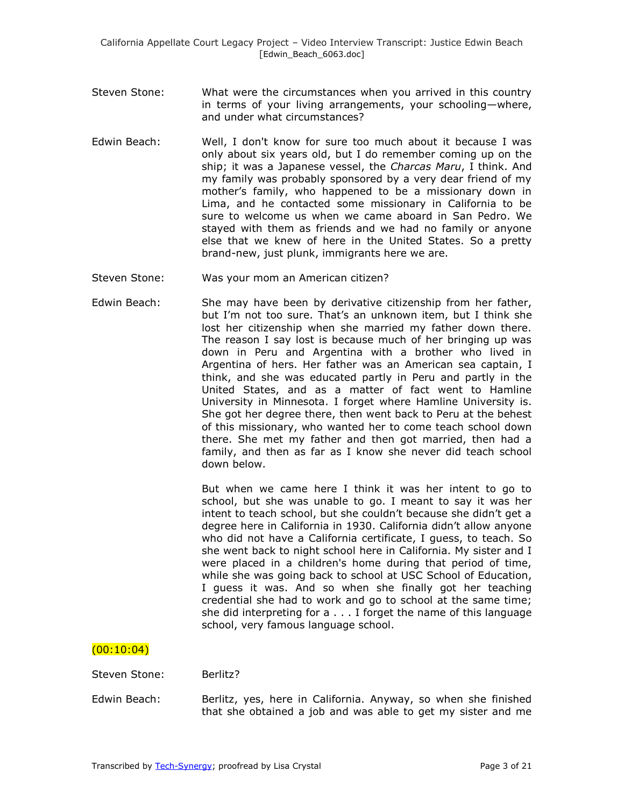- Steven Stone: What were the circumstances when you arrived in this country in terms of your living arrangements, your schooling—where, and under what circumstances?
- Edwin Beach: Well, I don't know for sure too much about it because I was only about six years old, but I do remember coming up on the ship; it was a Japanese vessel, the *Charcas Maru*, I think. And my family was probably sponsored by a very dear friend of my mother's family, who happened to be a missionary down in Lima, and he contacted some missionary in California to be sure to welcome us when we came aboard in San Pedro. We stayed with them as friends and we had no family or anyone else that we knew of here in the United States. So a pretty brand-new, just plunk, immigrants here we are.
- Steven Stone: Was your mom an American citizen?
- Edwin Beach: She may have been by derivative citizenship from her father, but I'm not too sure. That's an unknown item, but I think she lost her citizenship when she married my father down there. The reason I say lost is because much of her bringing up was down in Peru and Argentina with a brother who lived in Argentina of hers. Her father was an American sea captain, I think, and she was educated partly in Peru and partly in the United States, and as a matter of fact went to Hamline University in Minnesota. I forget where Hamline University is. She got her degree there, then went back to Peru at the behest of this missionary, who wanted her to come teach school down there. She met my father and then got married, then had a family, and then as far as I know she never did teach school down below.

But when we came here I think it was her intent to go to school, but she was unable to go. I meant to say it was her intent to teach school, but she couldn't because she didn't get a degree here in California in 1930. California didn't allow anyone who did not have a California certificate, I guess, to teach. So she went back to night school here in California. My sister and I were placed in a children's home during that period of time, while she was going back to school at USC School of Education, I guess it was. And so when she finally got her teaching credential she had to work and go to school at the same time; she did interpreting for a . . . I forget the name of this language school, very famous language school.

# $(00:10:04)$

- Steven Stone: Berlitz?
- Edwin Beach: Berlitz, yes, here in California. Anyway, so when she finished that she obtained a job and was able to get my sister and me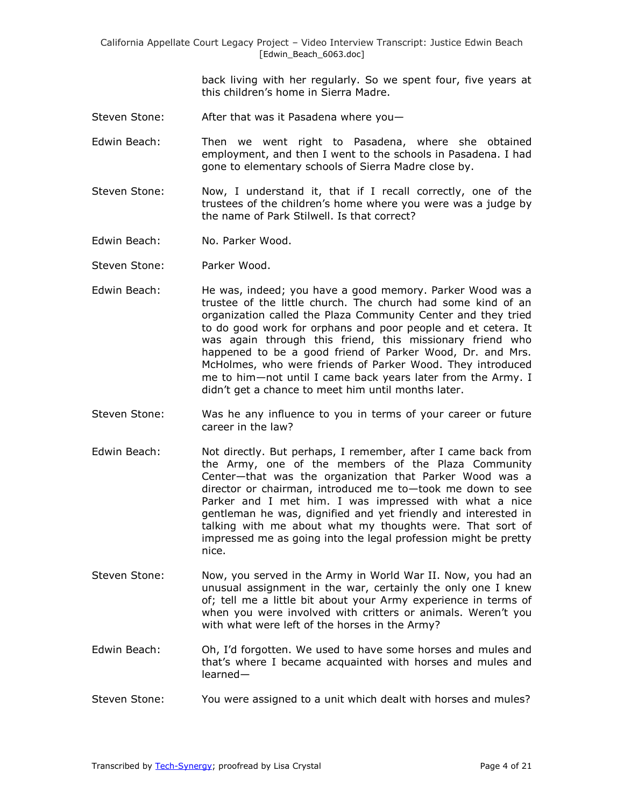> back living with her regularly. So we spent four, five years at this children's home in Sierra Madre.

- Steven Stone: After that was it Pasadena where you—
- Edwin Beach: Then we went right to Pasadena, where she obtained employment, and then I went to the schools in Pasadena. I had gone to elementary schools of Sierra Madre close by.
- Steven Stone: Now, I understand it, that if I recall correctly, one of the trustees of the children's home where you were was a judge by the name of Park Stilwell. Is that correct?
- Edwin Beach: No. Parker Wood.
- Steven Stone: Parker Wood.
- Edwin Beach: He was, indeed; you have a good memory. Parker Wood was a trustee of the little church. The church had some kind of an organization called the Plaza Community Center and they tried to do good work for orphans and poor people and et cetera. It was again through this friend, this missionary friend who happened to be a good friend of Parker Wood, Dr. and Mrs. McHolmes, who were friends of Parker Wood. They introduced me to him—not until I came back years later from the Army. I didn't get a chance to meet him until months later.
- Steven Stone: Was he any influence to you in terms of your career or future career in the law?
- Edwin Beach: Not directly. But perhaps, I remember, after I came back from the Army, one of the members of the Plaza Community Center—that was the organization that Parker Wood was a director or chairman, introduced me to—took me down to see Parker and I met him. I was impressed with what a nice gentleman he was, dignified and yet friendly and interested in talking with me about what my thoughts were. That sort of impressed me as going into the legal profession might be pretty nice.
- Steven Stone: Now, you served in the Army in World War II. Now, you had an unusual assignment in the war, certainly the only one I knew of; tell me a little bit about your Army experience in terms of when you were involved with critters or animals. Weren't you with what were left of the horses in the Army?
- Edwin Beach: Oh, I'd forgotten. We used to have some horses and mules and that's where I became acquainted with horses and mules and learned—
- Steven Stone: You were assigned to a unit which dealt with horses and mules?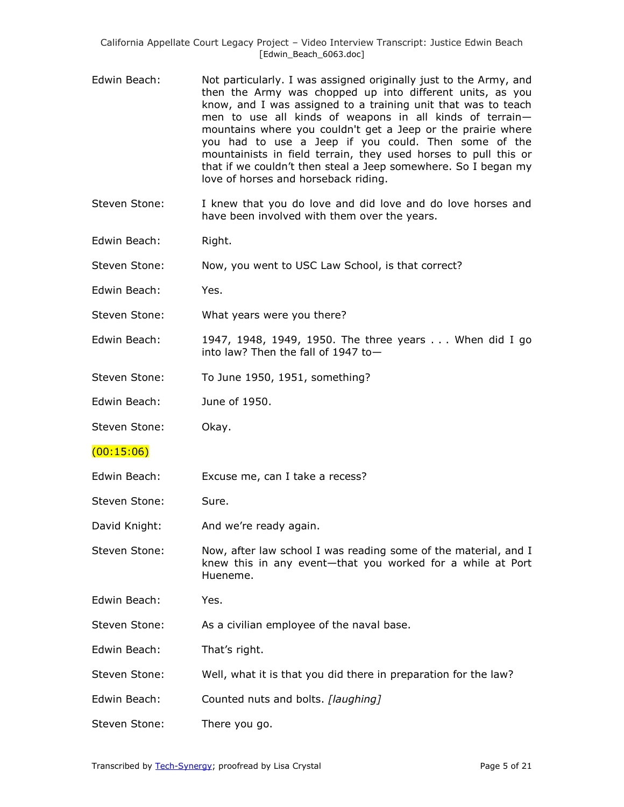- Edwin Beach: Not particularly. I was assigned originally just to the Army, and then the Army was chopped up into different units, as you know, and I was assigned to a training unit that was to teach men to use all kinds of weapons in all kinds of terrain mountains where you couldn't get a Jeep or the prairie where you had to use a Jeep if you could. Then some of the mountainists in field terrain, they used horses to pull this or that if we couldn't then steal a Jeep somewhere. So I began my love of horses and horseback riding.
- Steven Stone: I knew that you do love and did love and do love horses and have been involved with them over the years.
- Edwin Beach: Right.
- Steven Stone: Now, you went to USC Law School, is that correct?
- Edwin Beach: Yes.
- Steven Stone: What years were you there?
- Edwin Beach: 1947, 1948, 1949, 1950. The three years . . . When did I go into law? Then the fall of 1947 to—
- Steven Stone: To June 1950, 1951, something?
- Edwin Beach: June of 1950.
- Steven Stone: Okay.
- $(00:15:06)$
- Edwin Beach: Excuse me, can I take a recess?
- Steven Stone: Sure.
- David Knight: And we're ready again.
- Steven Stone: Now, after law school I was reading some of the material, and I knew this in any event—that you worked for a while at Port Hueneme.
- Edwin Beach: Yes.
- Steven Stone: As a civilian employee of the naval base.
- Edwin Beach: That's right.
- Steven Stone: Well, what it is that you did there in preparation for the law?
- Edwin Beach: Counted nuts and bolts. *[laughing]*
- Steven Stone: There you go.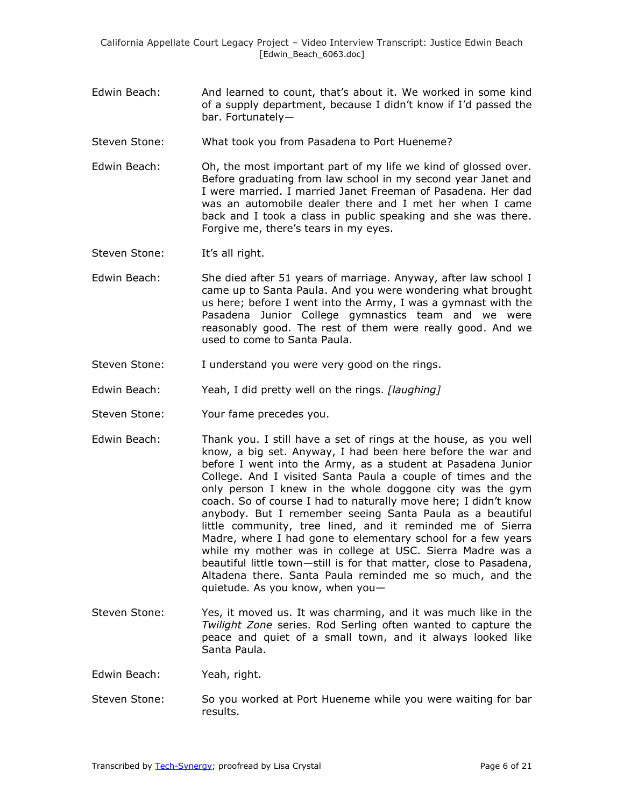- Edwin Beach: And learned to count, that's about it. We worked in some kind of a supply department, because I didn't know if I'd passed the bar. Fortunately—
- Steven Stone: What took you from Pasadena to Port Hueneme?
- Edwin Beach: Oh, the most important part of my life we kind of glossed over. Before graduating from law school in my second year Janet and I were married. I married Janet Freeman of Pasadena. Her dad was an automobile dealer there and I met her when I came back and I took a class in public speaking and she was there. Forgive me, there's tears in my eyes.

Steven Stone: It's all right.

- Edwin Beach: She died after 51 years of marriage. Anyway, after law school I came up to Santa Paula. And you were wondering what brought us here; before I went into the Army, I was a gymnast with the Pasadena Junior College gymnastics team and we were reasonably good. The rest of them were really good. And we used to come to Santa Paula.
- Steven Stone: I understand you were very good on the rings.
- Edwin Beach: Yeah, I did pretty well on the rings. *[laughing]*
- Steven Stone: Your fame precedes you.
- Edwin Beach: Thank you. I still have a set of rings at the house, as you well know, a big set. Anyway, I had been here before the war and before I went into the Army, as a student at Pasadena Junior College. And I visited Santa Paula a couple of times and the only person I knew in the whole doggone city was the gym coach. So of course I had to naturally move here; I didn't know anybody. But I remember seeing Santa Paula as a beautiful little community, tree lined, and it reminded me of Sierra Madre, where I had gone to elementary school for a few years while my mother was in college at USC. Sierra Madre was a beautiful little town—still is for that matter, close to Pasadena, Altadena there. Santa Paula reminded me so much, and the quietude. As you know, when you—
- Steven Stone: Yes, it moved us. It was charming, and it was much like in the *Twilight Zone* series. Rod Serling often wanted to capture the peace and quiet of a small town, and it always looked like Santa Paula.
- Edwin Beach: Yeah, right.
- Steven Stone: So you worked at Port Hueneme while you were waiting for bar results.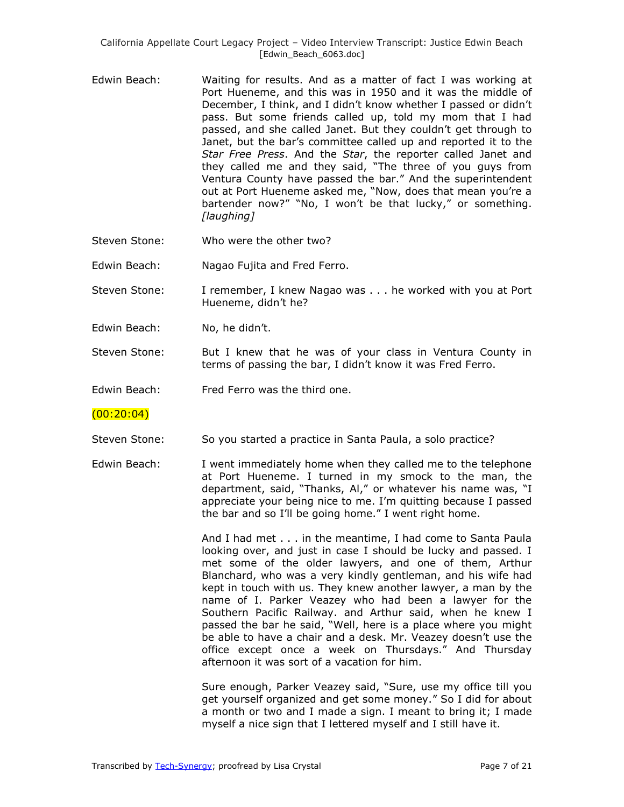- Edwin Beach: Waiting for results. And as a matter of fact I was working at Port Hueneme, and this was in 1950 and it was the middle of December, I think, and I didn't know whether I passed or didn't pass. But some friends called up, told my mom that I had passed, and she called Janet. But they couldn't get through to Janet, but the bar's committee called up and reported it to the *Star Free Press*. And the *Star*, the reporter called Janet and they called me and they said, "The three of you guys from Ventura County have passed the bar." And the superintendent out at Port Hueneme asked me, "Now, does that mean you're a bartender now?" "No, I won't be that lucky," or something. *[laughing]*
- Steven Stone: Who were the other two?
- Edwin Beach: Nagao Fujita and Fred Ferro.
- Steven Stone: I remember, I knew Nagao was . . . he worked with you at Port Hueneme, didn't he?
- Edwin Beach: No, he didn't.
- Steven Stone: But I knew that he was of your class in Ventura County in terms of passing the bar, I didn't know it was Fred Ferro.
- Edwin Beach: Fred Ferro was the third one.

 $(00:20:04)$ 

- Steven Stone: So you started a practice in Santa Paula, a solo practice?
- Edwin Beach: I went immediately home when they called me to the telephone at Port Hueneme. I turned in my smock to the man, the department, said, "Thanks, Al," or whatever his name was, "I appreciate your being nice to me. I'm quitting because I passed the bar and so I'll be going home." I went right home.

And I had met . . . in the meantime, I had come to Santa Paula looking over, and just in case I should be lucky and passed. I met some of the older lawyers, and one of them, Arthur Blanchard, who was a very kindly gentleman, and his wife had kept in touch with us. They knew another lawyer, a man by the name of I. Parker Veazey who had been a lawyer for the Southern Pacific Railway. and Arthur said, when he knew I passed the bar he said, "Well, here is a place where you might be able to have a chair and a desk. Mr. Veazey doesn't use the office except once a week on Thursdays." And Thursday afternoon it was sort of a vacation for him.

Sure enough, Parker Veazey said, "Sure, use my office till you get yourself organized and get some money." So I did for about a month or two and I made a sign. I meant to bring it; I made myself a nice sign that I lettered myself and I still have it.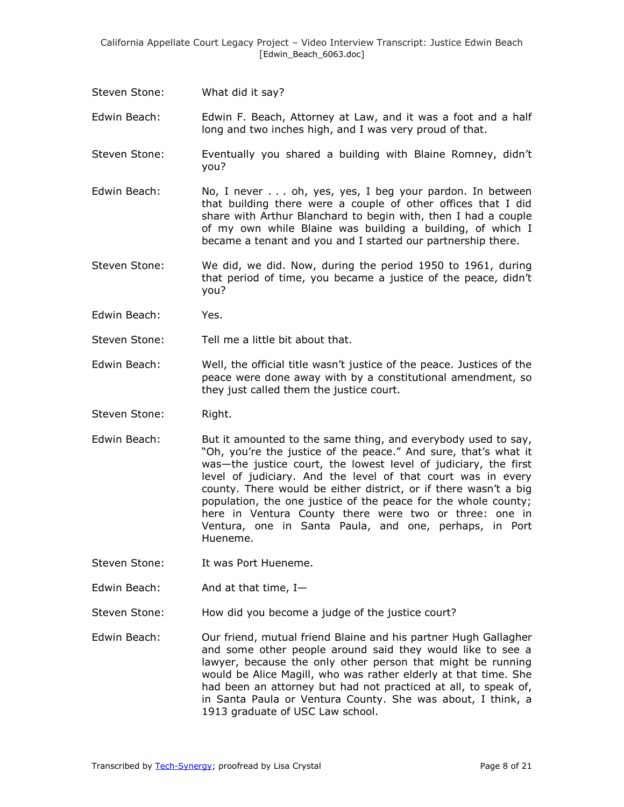Steven Stone: What did it say?

Edwin Beach: Edwin F. Beach, Attorney at Law, and it was a foot and a half long and two inches high, and I was very proud of that.

- Steven Stone: Eventually you shared a building with Blaine Romney, didn't you?
- Edwin Beach: No, I never . . . oh, yes, yes, I beg your pardon. In between that building there were a couple of other offices that I did share with Arthur Blanchard to begin with, then I had a couple of my own while Blaine was building a building, of which I became a tenant and you and I started our partnership there.
- Steven Stone: We did, we did. Now, during the period 1950 to 1961, during that period of time, you became a justice of the peace, didn't you?
- Edwin Beach: Yes.
- Steven Stone: Tell me a little bit about that.
- Edwin Beach: Well, the official title wasn't justice of the peace. Justices of the peace were done away with by a constitutional amendment, so they just called them the justice court.
- Steven Stone: Right.
- Edwin Beach: But it amounted to the same thing, and everybody used to say, ―Oh, you're the justice of the peace.‖ And sure, that's what it was—the justice court, the lowest level of judiciary, the first level of judiciary. And the level of that court was in every county. There would be either district, or if there wasn't a big population, the one justice of the peace for the whole county; here in Ventura County there were two or three: one in Ventura, one in Santa Paula, and one, perhaps, in Port Hueneme.
- Steven Stone: It was Port Hueneme.
- Edwin Beach: And at that time, I—
- Steven Stone: How did you become a judge of the justice court?
- Edwin Beach: Our friend, mutual friend Blaine and his partner Hugh Gallagher and some other people around said they would like to see a lawyer, because the only other person that might be running would be Alice Magill, who was rather elderly at that time. She had been an attorney but had not practiced at all, to speak of, in Santa Paula or Ventura County. She was about, I think, a 1913 graduate of USC Law school.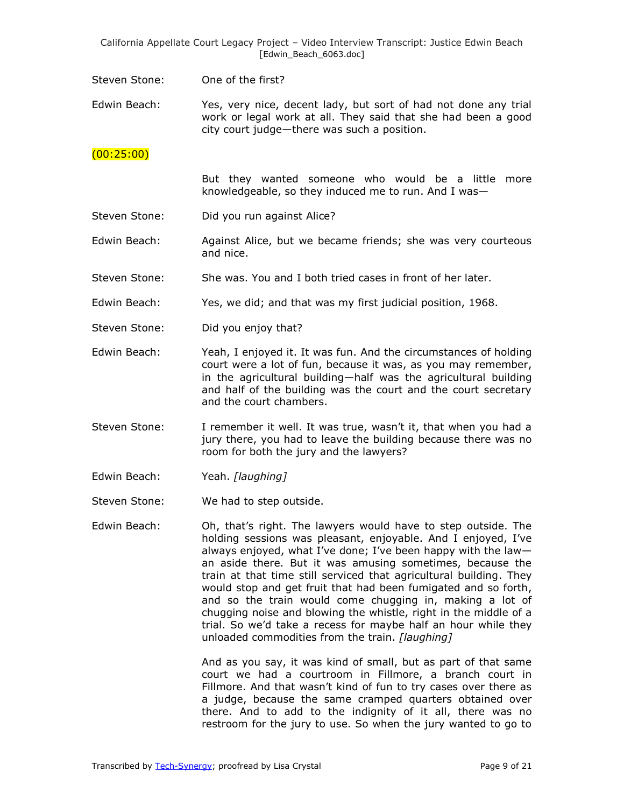Steven Stone: One of the first?

Edwin Beach: Yes, very nice, decent lady, but sort of had not done any trial work or legal work at all. They said that she had been a good city court judge—there was such a position.

#### (00:25:00)

But they wanted someone who would be a little more knowledgeable, so they induced me to run. And I was—

- Steven Stone: Did you run against Alice?
- Edwin Beach: Against Alice, but we became friends; she was very courteous and nice.
- Steven Stone: She was. You and I both tried cases in front of her later.
- Edwin Beach: Yes, we did; and that was my first judicial position, 1968.
- Steven Stone: Did you enjoy that?
- Edwin Beach: Yeah, I enjoyed it. It was fun. And the circumstances of holding court were a lot of fun, because it was, as you may remember, in the agricultural building—half was the agricultural building and half of the building was the court and the court secretary and the court chambers.
- Steven Stone: I remember it well. It was true, wasn't it, that when you had a jury there, you had to leave the building because there was no room for both the jury and the lawyers?
- Edwin Beach: Yeah. *[laughing]*
- Steven Stone: We had to step outside.
- Edwin Beach: Oh, that's right. The lawyers would have to step outside. The holding sessions was pleasant, enjoyable. And I enjoyed, I've always enjoyed, what I've done; I've been happy with the law an aside there. But it was amusing sometimes, because the train at that time still serviced that agricultural building. They would stop and get fruit that had been fumigated and so forth, and so the train would come chugging in, making a lot of chugging noise and blowing the whistle, right in the middle of a trial. So we'd take a recess for maybe half an hour while they unloaded commodities from the train. *[laughing]*

And as you say, it was kind of small, but as part of that same court we had a courtroom in Fillmore, a branch court in Fillmore. And that wasn't kind of fun to try cases over there as a judge, because the same cramped quarters obtained over there. And to add to the indignity of it all, there was no restroom for the jury to use. So when the jury wanted to go to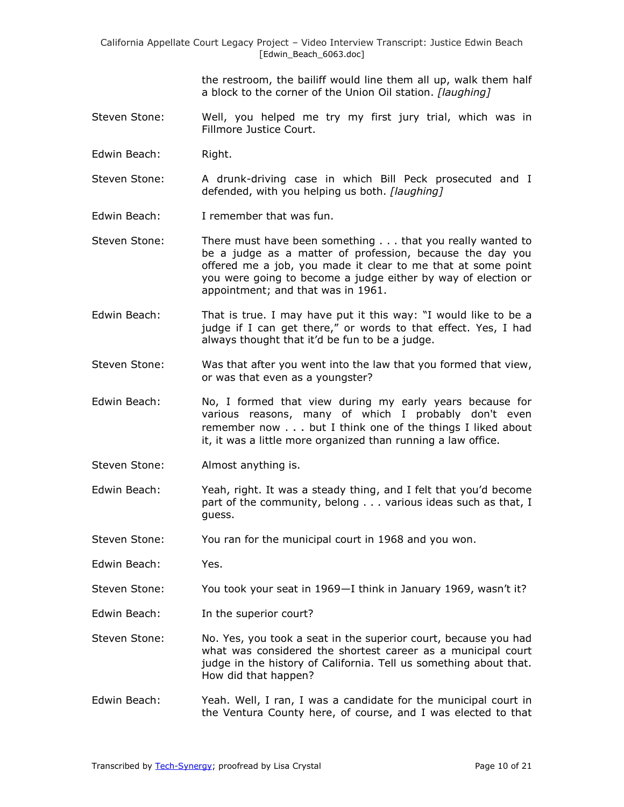the restroom, the bailiff would line them all up, walk them half a block to the corner of the Union Oil station. *[laughing]*

- Steven Stone: Well, you helped me try my first jury trial, which was in Fillmore Justice Court.
- Edwin Beach: Right.
- Steven Stone: A drunk-driving case in which Bill Peck prosecuted and I defended, with you helping us both. *[laughing]*
- Edwin Beach: I remember that was fun.
- Steven Stone: There must have been something . . . that you really wanted to be a judge as a matter of profession, because the day you offered me a job, you made it clear to me that at some point you were going to become a judge either by way of election or appointment; and that was in 1961.
- Edwin Beach: That is true. I may have put it this way: "I would like to be a judge if I can get there," or words to that effect. Yes, I had always thought that it'd be fun to be a judge.
- Steven Stone: Was that after you went into the law that you formed that view, or was that even as a youngster?
- Edwin Beach: No, I formed that view during my early years because for various reasons, many of which I probably don't even remember now . . . but I think one of the things I liked about it, it was a little more organized than running a law office.
- Steven Stone: Almost anything is.
- Edwin Beach: Yeah, right. It was a steady thing, and I felt that you'd become part of the community, belong . . . various ideas such as that, I guess.
- Steven Stone: You ran for the municipal court in 1968 and you won.
- Edwin Beach: Yes.
- Steven Stone: You took your seat in 1969—I think in January 1969, wasn't it?
- Edwin Beach: In the superior court?
- Steven Stone: No. Yes, you took a seat in the superior court, because you had what was considered the shortest career as a municipal court judge in the history of California. Tell us something about that. How did that happen?
- Edwin Beach: Yeah. Well, I ran, I was a candidate for the municipal court in the Ventura County here, of course, and I was elected to that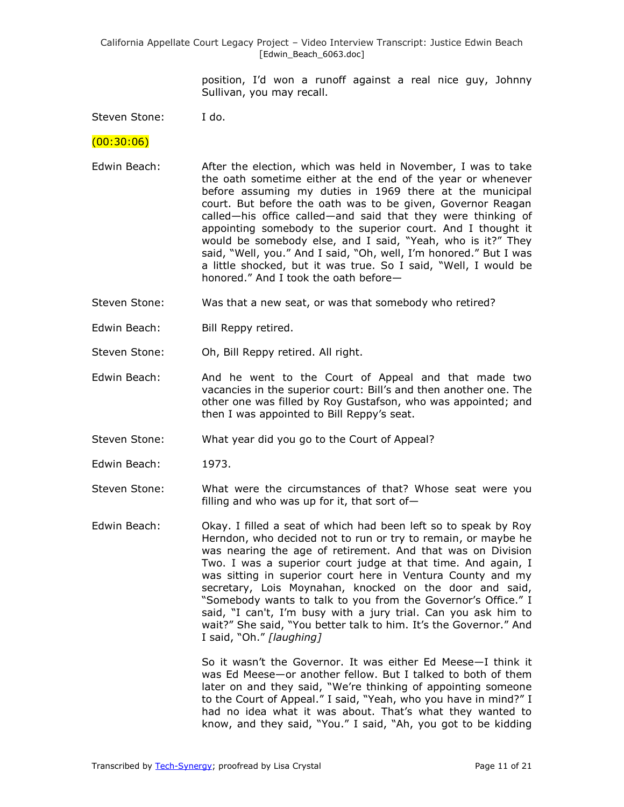> position, I'd won a runoff against a real nice guy, Johnny Sullivan, you may recall.

Steven Stone: I do.

 $(00:30:06)$ 

- Edwin Beach: After the election, which was held in November, I was to take the oath sometime either at the end of the year or whenever before assuming my duties in 1969 there at the municipal court. But before the oath was to be given, Governor Reagan called—his office called—and said that they were thinking of appointing somebody to the superior court. And I thought it would be somebody else, and I said, "Yeah, who is it?" They said, "Well, you." And I said, "Oh, well, I'm honored." But I was a little shocked, but it was true. So I said, "Well, I would be honored." And I took the oath before-
- Steven Stone: Was that a new seat, or was that somebody who retired?
- Edwin Beach: Bill Reppy retired.
- Steven Stone: Oh, Bill Reppy retired. All right.
- Edwin Beach: And he went to the Court of Appeal and that made two vacancies in the superior court: Bill's and then another one. The other one was filled by Roy Gustafson, who was appointed; and then I was appointed to Bill Reppy's seat.
- Steven Stone: What year did you go to the Court of Appeal?
- Edwin Beach: 1973.
- Steven Stone: What were the circumstances of that? Whose seat were you filling and who was up for it, that sort of $-$
- Edwin Beach: Okay. I filled a seat of which had been left so to speak by Roy Herndon, who decided not to run or try to remain, or maybe he was nearing the age of retirement. And that was on Division Two. I was a superior court judge at that time. And again, I was sitting in superior court here in Ventura County and my secretary, Lois Moynahan, knocked on the door and said, "Somebody wants to talk to you from the Governor's Office." I said, "I can't, I'm busy with a jury trial. Can you ask him to wait?" She said, "You better talk to him. It's the Governor." And I said, "Oh." *[laughing]*

So it wasn't the Governor. It was either Ed Meese—I think it was Ed Meese—or another fellow. But I talked to both of them later on and they said, "We're thinking of appointing someone to the Court of Appeal." I said, "Yeah, who you have in mind?" I had no idea what it was about. That's what they wanted to know, and they said, "You." I said, "Ah, you got to be kidding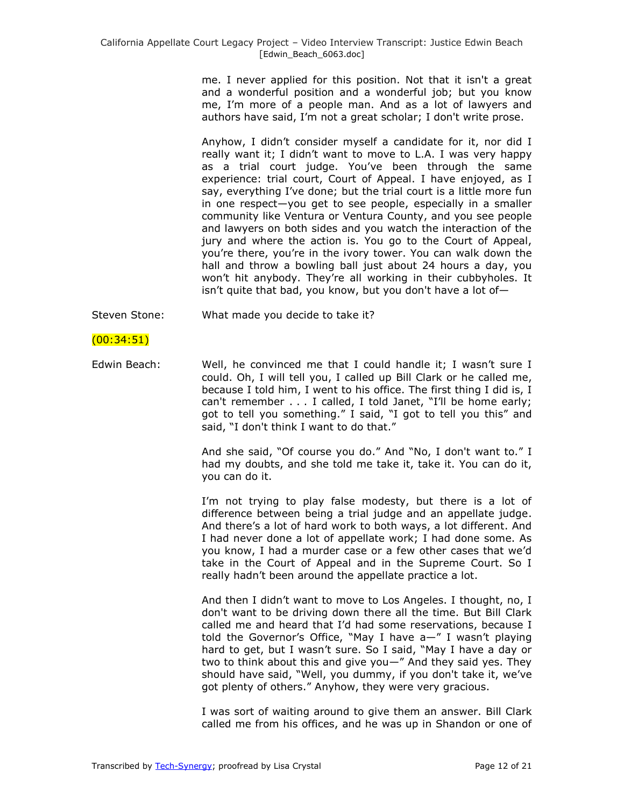me. I never applied for this position. Not that it isn't a great and a wonderful position and a wonderful job; but you know me, I'm more of a people man. And as a lot of lawyers and authors have said, I'm not a great scholar; I don't write prose.

Anyhow, I didn't consider myself a candidate for it, nor did I really want it; I didn't want to move to L.A. I was very happy as a trial court judge. You've been through the same experience: trial court, Court of Appeal. I have enjoyed, as I say, everything I've done; but the trial court is a little more fun in one respect—you get to see people, especially in a smaller community like Ventura or Ventura County, and you see people and lawyers on both sides and you watch the interaction of the jury and where the action is. You go to the Court of Appeal, you're there, you're in the ivory tower. You can walk down the hall and throw a bowling ball just about 24 hours a day, you won't hit anybody. They're all working in their cubbyholes. It isn't quite that bad, you know, but you don't have a lot of—

Steven Stone: What made you decide to take it?

# (00:34:51)

Edwin Beach: Well, he convinced me that I could handle it; I wasn't sure I could. Oh, I will tell you, I called up Bill Clark or he called me, because I told him, I went to his office. The first thing I did is, I can't remember  $\ldots$  I called, I told Janet, "I'll be home early; got to tell you something." I said, "I got to tell you this" and said, "I don't think I want to do that."

> And she said, "Of course you do." And "No, I don't want to." I had my doubts, and she told me take it, take it. You can do it, you can do it.

> I'm not trying to play false modesty, but there is a lot of difference between being a trial judge and an appellate judge. And there's a lot of hard work to both ways, a lot different. And I had never done a lot of appellate work; I had done some. As you know, I had a murder case or a few other cases that we'd take in the Court of Appeal and in the Supreme Court. So I really hadn't been around the appellate practice a lot.

> And then I didn't want to move to Los Angeles. I thought, no, I don't want to be driving down there all the time. But Bill Clark called me and heard that I'd had some reservations, because I told the Governor's Office, "May I have  $a$ —" I wasn't playing hard to get, but I wasn't sure. So I said, "May I have a day or two to think about this and give you $-$ " And they said yes. They should have said, "Well, you dummy, if you don't take it, we've got plenty of others." Anyhow, they were very gracious.

> I was sort of waiting around to give them an answer. Bill Clark called me from his offices, and he was up in Shandon or one of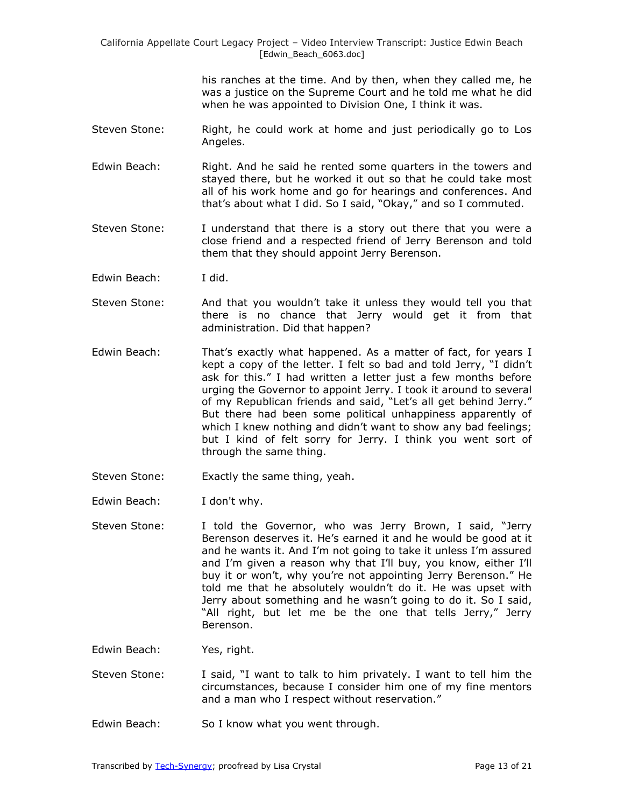> his ranches at the time. And by then, when they called me, he was a justice on the Supreme Court and he told me what he did when he was appointed to Division One, I think it was.

- Steven Stone: Right, he could work at home and just periodically go to Los Angeles.
- Edwin Beach: Right. And he said he rented some quarters in the towers and stayed there, but he worked it out so that he could take most all of his work home and go for hearings and conferences. And that's about what I did. So I said, "Okay," and so I commuted.
- Steven Stone: I understand that there is a story out there that you were a close friend and a respected friend of Jerry Berenson and told them that they should appoint Jerry Berenson.
- Edwin Beach: I did.
- Steven Stone: And that you wouldn't take it unless they would tell you that there is no chance that Jerry would get it from that administration. Did that happen?
- Edwin Beach: That's exactly what happened. As a matter of fact, for years I kept a copy of the letter. I felt so bad and told Jerry, "I didn't ask for this." I had written a letter just a few months before urging the Governor to appoint Jerry. I took it around to several of my Republican friends and said, "Let's all get behind Jerry." But there had been some political unhappiness apparently of which I knew nothing and didn't want to show any bad feelings; but I kind of felt sorry for Jerry. I think you went sort of through the same thing.
- Steven Stone: Exactly the same thing, yeah.
- Edwin Beach: I don't why.
- Steven Stone: I told the Governor, who was Jerry Brown, I said, "Jerry Berenson deserves it. He's earned it and he would be good at it and he wants it. And I'm not going to take it unless I'm assured and I'm given a reason why that I'll buy, you know, either I'll buy it or won't, why you're not appointing Jerry Berenson." He told me that he absolutely wouldn't do it. He was upset with Jerry about something and he wasn't going to do it. So I said, "All right, but let me be the one that tells Jerry," Jerry Berenson.
- Edwin Beach: Yes, right.
- Steven Stone: I said, "I want to talk to him privately. I want to tell him the circumstances, because I consider him one of my fine mentors and a man who I respect without reservation."
- Edwin Beach: So I know what you went through.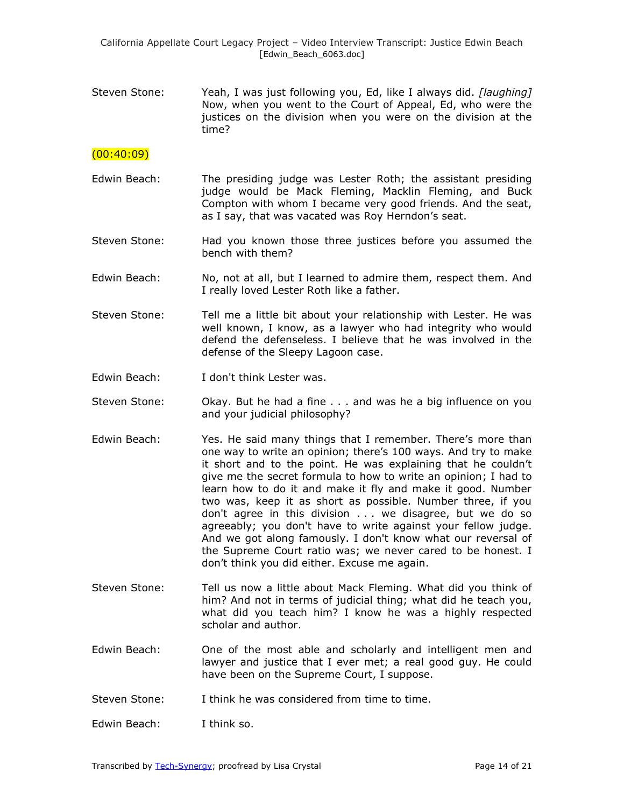Steven Stone: Yeah, I was just following you, Ed, like I always did. *[laughing]*  Now, when you went to the Court of Appeal, Ed, who were the justices on the division when you were on the division at the time?

# $(00:40:09)$

- Edwin Beach: The presiding judge was Lester Roth; the assistant presiding judge would be Mack Fleming, Macklin Fleming, and Buck Compton with whom I became very good friends. And the seat, as I say, that was vacated was Roy Herndon's seat.
- Steven Stone: Had you known those three justices before you assumed the bench with them?
- Edwin Beach: No, not at all, but I learned to admire them, respect them. And I really loved Lester Roth like a father.
- Steven Stone: Tell me a little bit about your relationship with Lester. He was well known, I know, as a lawyer who had integrity who would defend the defenseless. I believe that he was involved in the defense of the Sleepy Lagoon case.
- Edwin Beach: I don't think Lester was.
- Steven Stone: Okay. But he had a fine . . . and was he a big influence on you and your judicial philosophy?
- Edwin Beach: Yes. He said many things that I remember. There's more than one way to write an opinion; there's 100 ways. And try to make it short and to the point. He was explaining that he couldn't give me the secret formula to how to write an opinion; I had to learn how to do it and make it fly and make it good. Number two was, keep it as short as possible. Number three, if you don't agree in this division . . . we disagree, but we do so agreeably; you don't have to write against your fellow judge. And we got along famously. I don't know what our reversal of the Supreme Court ratio was; we never cared to be honest. I don't think you did either. Excuse me again.
- Steven Stone: Tell us now a little about Mack Fleming. What did you think of him? And not in terms of judicial thing; what did he teach you, what did you teach him? I know he was a highly respected scholar and author.
- Edwin Beach: One of the most able and scholarly and intelligent men and lawyer and justice that I ever met; a real good guy. He could have been on the Supreme Court, I suppose.
- Steven Stone: I think he was considered from time to time.
- Edwin Beach: I think so.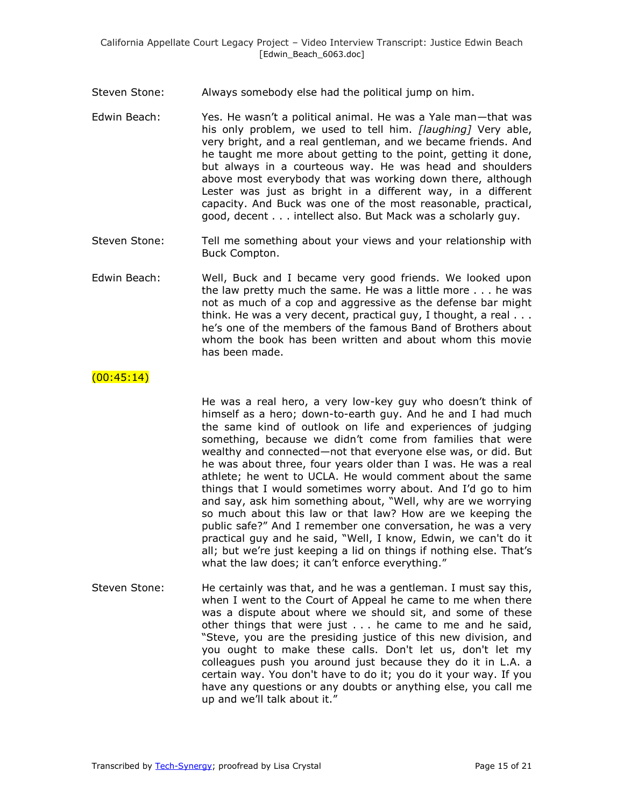Steven Stone: Always somebody else had the political jump on him.

- Edwin Beach: Yes. He wasn't a political animal. He was a Yale man—that was his only problem, we used to tell him. *[laughing]* Very able, very bright, and a real gentleman, and we became friends. And he taught me more about getting to the point, getting it done, but always in a courteous way. He was head and shoulders above most everybody that was working down there, although Lester was just as bright in a different way, in a different capacity. And Buck was one of the most reasonable, practical, good, decent . . . intellect also. But Mack was a scholarly guy.
- Steven Stone: Tell me something about your views and your relationship with Buck Compton.
- Edwin Beach: Well, Buck and I became very good friends. We looked upon the law pretty much the same. He was a little more . . . he was not as much of a cop and aggressive as the defense bar might think. He was a very decent, practical guy, I thought, a real . . . he's one of the members of the famous Band of Brothers about whom the book has been written and about whom this movie has been made.

## $(00:45:14)$

He was a real hero, a very low-key guy who doesn't think of himself as a hero; down-to-earth guy. And he and I had much the same kind of outlook on life and experiences of judging something, because we didn't come from families that were wealthy and connected—not that everyone else was, or did. But he was about three, four years older than I was. He was a real athlete; he went to UCLA. He would comment about the same things that I would sometimes worry about. And I'd go to him and say, ask him something about, "Well, why are we worrying so much about this law or that law? How are we keeping the public safe?‖ And I remember one conversation, he was a very practical guy and he said, "Well, I know, Edwin, we can't do it all; but we're just keeping a lid on things if nothing else. That's what the law does; it can't enforce everything."

Steven Stone: He certainly was that, and he was a gentleman. I must say this, when I went to the Court of Appeal he came to me when there was a dispute about where we should sit, and some of these other things that were just . . . he came to me and he said, "Steve, you are the presiding justice of this new division, and you ought to make these calls. Don't let us, don't let my colleagues push you around just because they do it in L.A. a certain way. You don't have to do it; you do it your way. If you have any questions or any doubts or anything else, you call me up and we'll talk about it."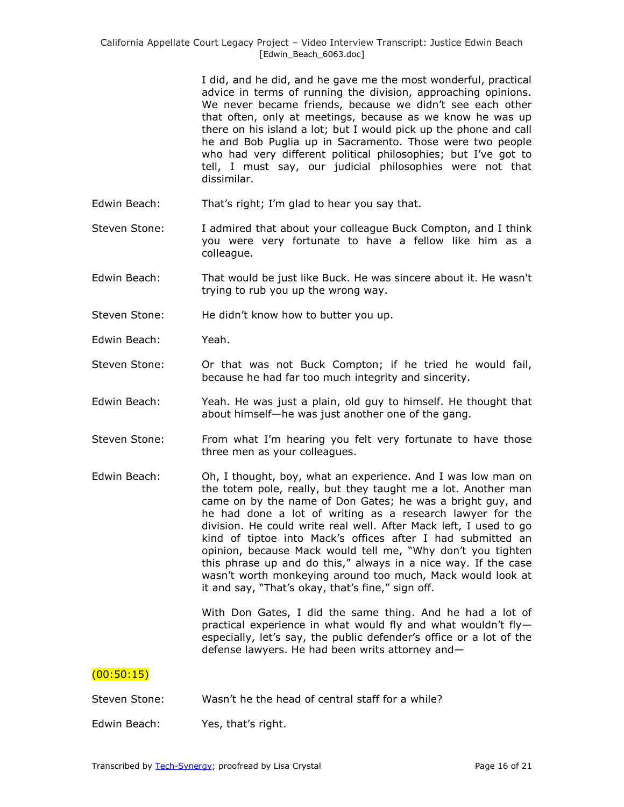I did, and he did, and he gave me the most wonderful, practical advice in terms of running the division, approaching opinions. We never became friends, because we didn't see each other that often, only at meetings, because as we know he was up there on his island a lot; but I would pick up the phone and call he and Bob Puglia up in Sacramento. Those were two people who had very different political philosophies; but I've got to tell, I must say, our judicial philosophies were not that dissimilar.

- Edwin Beach: That's right; I'm glad to hear you say that.
- Steven Stone: I admired that about your colleague Buck Compton, and I think you were very fortunate to have a fellow like him as a colleague.
- Edwin Beach: That would be just like Buck. He was sincere about it. He wasn't trying to rub you up the wrong way.
- Steven Stone: He didn't know how to butter you up.
- Edwin Beach: Yeah.
- Steven Stone: Or that was not Buck Compton; if he tried he would fail, because he had far too much integrity and sincerity.
- Edwin Beach: Yeah. He was just a plain, old guy to himself. He thought that about himself—he was just another one of the gang.
- Steven Stone: From what I'm hearing you felt very fortunate to have those three men as your colleagues.
- Edwin Beach: Oh, I thought, boy, what an experience. And I was low man on the totem pole, really, but they taught me a lot. Another man came on by the name of Don Gates; he was a bright guy, and he had done a lot of writing as a research lawyer for the division. He could write real well. After Mack left, I used to go kind of tiptoe into Mack's offices after I had submitted an opinion, because Mack would tell me, "Why don't you tighten this phrase up and do this," always in a nice way. If the case wasn't worth monkeying around too much, Mack would look at it and say, "That's okay, that's fine," sign off.

With Don Gates, I did the same thing. And he had a lot of practical experience in what would fly and what wouldn't fly especially, let's say, the public defender's office or a lot of the defense lawyers. He had been writs attorney and—

# $(00:50:15)$

Steven Stone: Wasn't he the head of central staff for a while?

Edwin Beach: Yes, that's right.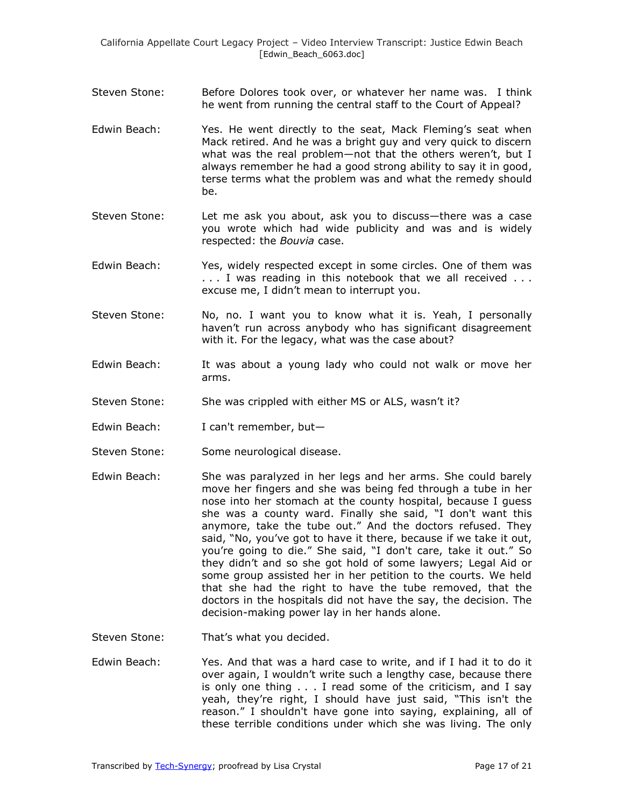- Steven Stone: Before Dolores took over, or whatever her name was. I think he went from running the central staff to the Court of Appeal?
- Edwin Beach: Yes. He went directly to the seat, Mack Fleming's seat when Mack retired. And he was a bright guy and very quick to discern what was the real problem—not that the others weren't, but I always remember he had a good strong ability to say it in good, terse terms what the problem was and what the remedy should be.
- Steven Stone: Let me ask you about, ask you to discuss—there was a case you wrote which had wide publicity and was and is widely respected: the *Bouvia* case.
- Edwin Beach: Yes, widely respected except in some circles. One of them was . . . I was reading in this notebook that we all received . . . excuse me, I didn't mean to interrupt you.
- Steven Stone: No, no. I want you to know what it is. Yeah, I personally haven't run across anybody who has significant disagreement with it. For the legacy, what was the case about?
- Edwin Beach: It was about a young lady who could not walk or move her arms.
- Steven Stone: She was crippled with either MS or ALS, wasn't it?
- Edwin Beach: I can't remember, but-
- Steven Stone: Some neurological disease.
- Edwin Beach: She was paralyzed in her legs and her arms. She could barely move her fingers and she was being fed through a tube in her nose into her stomach at the county hospital, because I guess she was a county ward. Finally she said, "I don't want this anymore, take the tube out." And the doctors refused. They said, "No, you've got to have it there, because if we take it out, you're going to die." She said, "I don't care, take it out." So they didn't and so she got hold of some lawyers; Legal Aid or some group assisted her in her petition to the courts. We held that she had the right to have the tube removed, that the doctors in the hospitals did not have the say, the decision. The decision-making power lay in her hands alone.
- Steven Stone: That's what you decided.
- Edwin Beach: Yes. And that was a hard case to write, and if I had it to do it over again, I wouldn't write such a lengthy case, because there is only one thing . . . I read some of the criticism, and I say yeah, they're right, I should have just said, "This isn't the reason." I shouldn't have gone into saying, explaining, all of these terrible conditions under which she was living. The only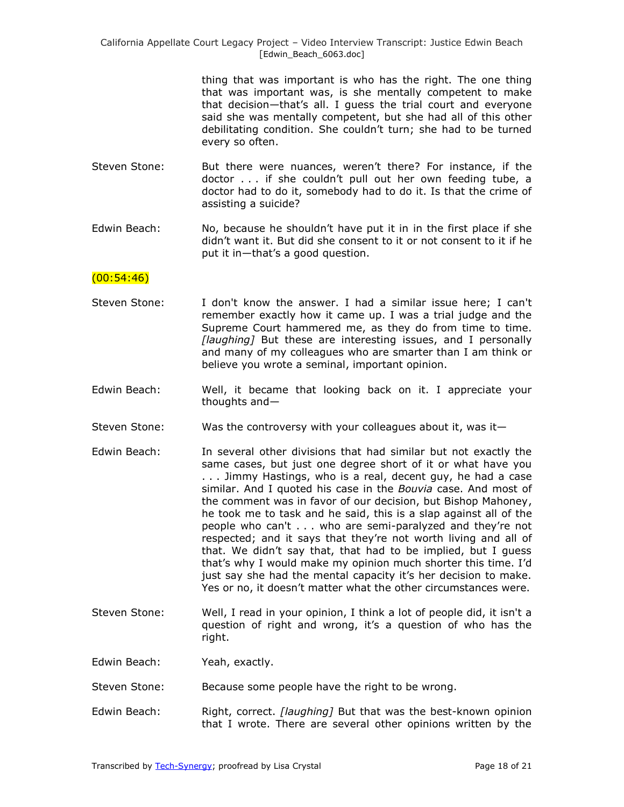> thing that was important is who has the right. The one thing that was important was, is she mentally competent to make that decision—that's all. I guess the trial court and everyone said she was mentally competent, but she had all of this other debilitating condition. She couldn't turn; she had to be turned every so often.

- Steven Stone: But there were nuances, weren't there? For instance, if the doctor . . . if she couldn't pull out her own feeding tube, a doctor had to do it, somebody had to do it. Is that the crime of assisting a suicide?
- Edwin Beach: No, because he shouldn't have put it in in the first place if she didn't want it. But did she consent to it or not consent to it if he put it in—that's a good question.

## $(00:54:46)$

- Steven Stone: I don't know the answer. I had a similar issue here; I can't remember exactly how it came up. I was a trial judge and the Supreme Court hammered me, as they do from time to time. *[laughing]* But these are interesting issues, and I personally and many of my colleagues who are smarter than I am think or believe you wrote a seminal, important opinion.
- Edwin Beach: Well, it became that looking back on it. I appreciate your thoughts and—
- Steven Stone: Was the controversy with your colleagues about it, was it—
- Edwin Beach: In several other divisions that had similar but not exactly the same cases, but just one degree short of it or what have you . . . Jimmy Hastings, who is a real, decent guy, he had a case similar. And I quoted his case in the *Bouvia* case. And most of the comment was in favor of our decision, but Bishop Mahoney, he took me to task and he said, this is a slap against all of the people who can't . . . who are semi-paralyzed and they're not respected; and it says that they're not worth living and all of that. We didn't say that, that had to be implied, but I guess that's why I would make my opinion much shorter this time. I'd just say she had the mental capacity it's her decision to make. Yes or no, it doesn't matter what the other circumstances were.
- Steven Stone: Well, I read in your opinion, I think a lot of people did, it isn't a question of right and wrong, it's a question of who has the right.
- Edwin Beach: Yeah, exactly.
- Steven Stone: Because some people have the right to be wrong.
- Edwin Beach: Right, correct. *[laughing]* But that was the best-known opinion that I wrote. There are several other opinions written by the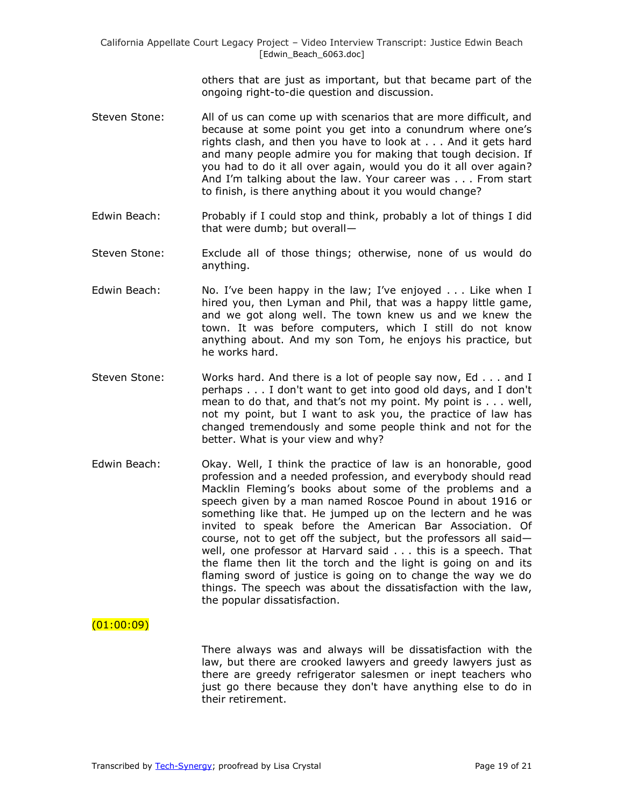others that are just as important, but that became part of the ongoing right-to-die question and discussion.

- Steven Stone: All of us can come up with scenarios that are more difficult, and because at some point you get into a conundrum where one's rights clash, and then you have to look at . . . And it gets hard and many people admire you for making that tough decision. If you had to do it all over again, would you do it all over again? And I'm talking about the law. Your career was . . . From start to finish, is there anything about it you would change?
- Edwin Beach: Probably if I could stop and think, probably a lot of things I did that were dumb; but overall—
- Steven Stone: Exclude all of those things; otherwise, none of us would do anything.
- Edwin Beach: No. I've been happy in the law; I've enjoyed . . . Like when I hired you, then Lyman and Phil, that was a happy little game, and we got along well. The town knew us and we knew the town. It was before computers, which I still do not know anything about. And my son Tom, he enjoys his practice, but he works hard.
- Steven Stone: Works hard. And there is a lot of people say now, Ed . . . and I perhaps . . . I don't want to get into good old days, and I don't mean to do that, and that's not my point. My point is . . . well, not my point, but I want to ask you, the practice of law has changed tremendously and some people think and not for the better. What is your view and why?
- Edwin Beach: Okay. Well, I think the practice of law is an honorable, good profession and a needed profession, and everybody should read Macklin Fleming's books about some of the problems and a speech given by a man named Roscoe Pound in about 1916 or something like that. He jumped up on the lectern and he was invited to speak before the American Bar Association. Of course, not to get off the subject, but the professors all said well, one professor at Harvard said . . . this is a speech. That the flame then lit the torch and the light is going on and its flaming sword of justice is going on to change the way we do things. The speech was about the dissatisfaction with the law, the popular dissatisfaction.

## $(01:00:09)$

There always was and always will be dissatisfaction with the law, but there are crooked lawyers and greedy lawyers just as there are greedy refrigerator salesmen or inept teachers who just go there because they don't have anything else to do in their retirement.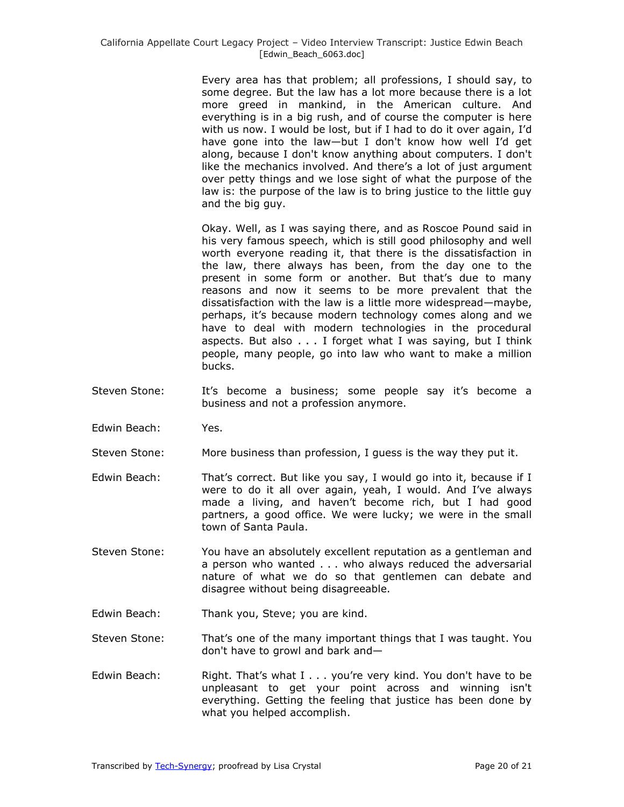Every area has that problem; all professions, I should say, to some degree. But the law has a lot more because there is a lot more greed in mankind, in the American culture. And everything is in a big rush, and of course the computer is here with us now. I would be lost, but if I had to do it over again, I'd have gone into the law—but I don't know how well I'd get along, because I don't know anything about computers. I don't like the mechanics involved. And there's a lot of just argument over petty things and we lose sight of what the purpose of the law is: the purpose of the law is to bring justice to the little guy and the big guy.

Okay. Well, as I was saying there, and as Roscoe Pound said in his very famous speech, which is still good philosophy and well worth everyone reading it, that there is the dissatisfaction in the law, there always has been, from the day one to the present in some form or another. But that's due to many reasons and now it seems to be more prevalent that the dissatisfaction with the law is a little more widespread—maybe, perhaps, it's because modern technology comes along and we have to deal with modern technologies in the procedural aspects. But also . . . I forget what I was saying, but I think people, many people, go into law who want to make a million bucks.

- Steven Stone: It's become a business; some people say it's become a business and not a profession anymore.
- Edwin Beach: Yes.
- Steven Stone: More business than profession, I guess is the way they put it.
- Edwin Beach: That's correct. But like you say, I would go into it, because if I were to do it all over again, yeah, I would. And I've always made a living, and haven't become rich, but I had good partners, a good office. We were lucky; we were in the small town of Santa Paula.
- Steven Stone: You have an absolutely excellent reputation as a gentleman and a person who wanted . . . who always reduced the adversarial nature of what we do so that gentlemen can debate and disagree without being disagreeable.
- Edwin Beach: Thank you, Steve; you are kind.
- Steven Stone: That's one of the many important things that I was taught. You don't have to growl and bark and—
- Edwin Beach: Right. That's what I . . . you're very kind. You don't have to be unpleasant to get your point across and winning isn't everything. Getting the feeling that justice has been done by what you helped accomplish.